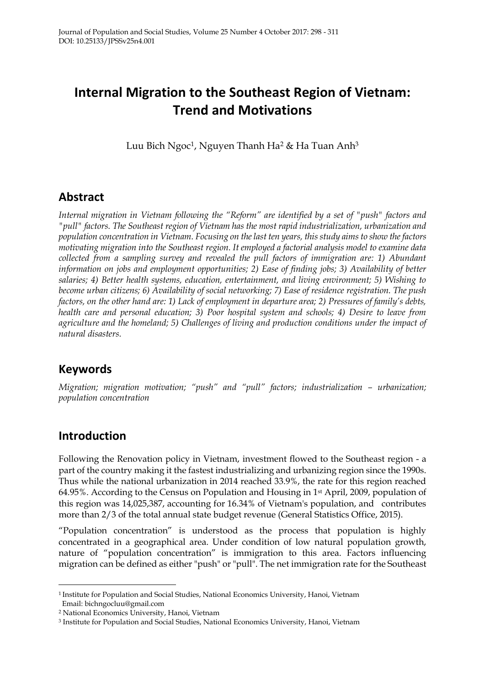# **Internal Migration to the Southeast Region of Vietnam: Trend and Motivations**

Luu Bich Ngoc<sup>1</sup>, Nguyen Thanh Ha<sup>2</sup> & Ha Tuan Anh<sup>3</sup>

### **Abstract**

*Internal migration in Vietnam following the "Reform" are identified by a set of "push" factors and "pull" factors. The Southeast region of Vietnam has the most rapid industrialization, urbanization and population concentration in Vietnam. Focusing on the last ten years, this study aims to show the factors motivating migration into the Southeast region. It employed a factorial analysis model to examine data collected from a sampling survey and revealed the pull factors of immigration are: 1) Abundant information on jobs and employment opportunities; 2) Ease of finding jobs; 3) Availability of better salaries; 4) Better health systems, education, entertainment, and living environment; 5) Wishing to become urban citizens; 6) Availability of social networking; 7) Ease of residence registration. The push factors, on the other hand are: 1) Lack of employment in departure area; 2) Pressures of family's debts, health care and personal education; 3) Poor hospital system and schools; 4) Desire to leave from agriculture and the homeland; 5) Challenges of living and production conditions under the impact of natural disasters.*

### **Keywords**

*Migration; migration motivation; "push" and "pull" factors; industrialization – urbanization; population concentration*

### **Introduction**

Following the Renovation policy in Vietnam, investment flowed to the Southeast region - a part of the country making it the fastest industrializing and urbanizing region since the 1990s. Thus while the national urbanization in 2014 reached 33.9%, the rate for this region reached 64.95%. According to the Census on Population and Housing in 1st April, 2009, population of this region was 14,025,387, accounting for 16.34% of Vietnam's population, and contributes more than 2/3 of the total annual state budget revenue (General Statistics Office, 2015).

"Population concentration" is understood as the process that population is highly concentrated in a geographical area. Under condition of low natural population growth, nature of "population concentration" is immigration to this area. Factors influencing migration can be defined as either "push" or "pull". The net immigration rate for the Southeast

<sup>1</sup> Institute for Population and Social Studies, National Economics University, Hanoi, Vietnam Email: bichngocluu@gmail.com

<sup>2</sup> National Economics University, Hanoi, Vietnam

<sup>3</sup> Institute for Population and Social Studies, National Economics University, Hanoi, Vietnam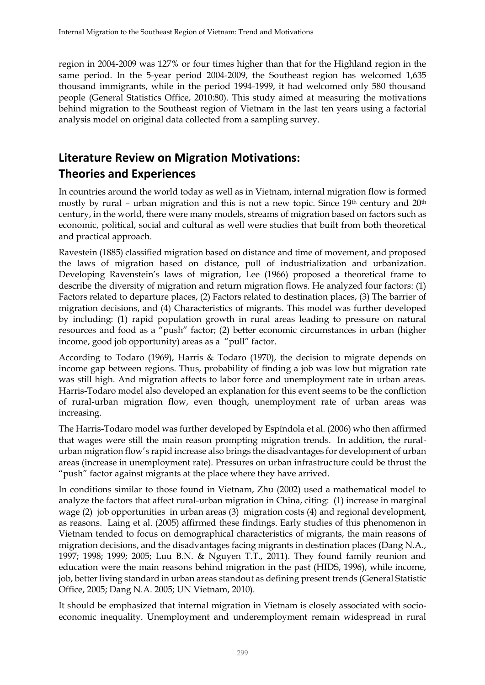region in 2004-2009 was 127% or four times higher than that for the Highland region in the same period. In the 5-year period 2004-2009, the Southeast region has welcomed 1,635 thousand immigrants, while in the period 1994-1999, it had welcomed only 580 thousand people (General Statistics Office, 2010:80). This study aimed at measuring the motivations behind migration to the Southeast region of Vietnam in the last ten years using a factorial analysis model on original data collected from a sampling survey.

## **Literature Review on Migration Motivations: Theories and Experiences**

In countries around the world today as well as in Vietnam, internal migration flow is formed mostly by rural - urban migration and this is not a new topic. Since 19<sup>th</sup> century and 20<sup>th</sup> century, in the world, there were many models, streams of migration based on factors such as economic, political, social and cultural as well were studies that built from both theoretical and practical approach.

Ravestein (1885) classified migration based on distance and time of movement, and proposed the laws of migration based on distance, pull of industrialization and urbanization. Developing Ravenstein's laws of migration, Lee (1966) proposed a theoretical frame to describe the diversity of migration and return migration flows. He analyzed four factors: (1) Factors related to departure places, (2) Factors related to destination places, (3) The barrier of migration decisions, and (4) Characteristics of migrants. This model was further developed by including: (1) rapid population growth in rural areas leading to pressure on natural resources and food as a "push" factor; (2) better economic circumstances in urban (higher income, good job opportunity) areas as a "pull" factor.

According to Todaro (1969), Harris & Todaro (1970), the decision to migrate depends on income gap between regions. Thus, probability of finding a job was low but migration rate was still high. And migration affects to labor force and unemployment rate in urban areas. Harris-Todaro model also developed an explanation for this event seems to be the confliction of rural-urban migration flow, even though, unemployment rate of urban areas was increasing.

The Harris-Todaro model was further developed by Espíndola et al. (2006) who then affirmed that wages were still the main reason prompting migration trends. In addition, the ruralurban migration flow's rapid increase also brings the disadvantages for development of urban areas (increase in unemployment rate). Pressures on urban infrastructure could be thrust the "push" factor against migrants at the place where they have arrived.

In conditions similar to those found in Vietnam, Zhu (2002) used a mathematical model to analyze the factors that affect rural-urban migration in China, citing: (1) increase in marginal wage (2) job opportunities in urban areas (3) migration costs (4) and regional development, as reasons. Laing et al. (2005) affirmed these findings. Early studies of this phenomenon in Vietnam tended to focus on demographical characteristics of migrants, the main reasons of migration decisions, and the disadvantages facing migrants in destination places (Dang N.A., 1997; 1998; 1999; 2005; Luu B.N. & Nguyen T.T., 2011). They found family reunion and education were the main reasons behind migration in the past (HIDS, 1996), while income, job, better living standard in urban areas standout as defining present trends (General Statistic Office, 2005; Dang N.A. 2005; UN Vietnam, 2010).

It should be emphasized that internal migration in Vietnam is closely associated with socioeconomic inequality. Unemployment and underemployment remain widespread in rural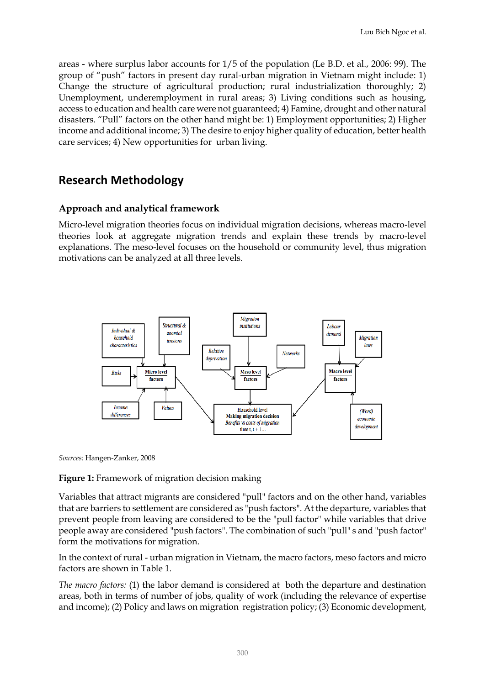areas - where surplus labor accounts for 1/5 of the population (Le B.D. et al., 2006: 99). The group of "push" factors in present day rural-urban migration in Vietnam might include: 1) Change the structure of agricultural production; rural industrialization thoroughly; 2) Unemployment, underemployment in rural areas; 3) Living conditions such as housing, access to education and health care were not guaranteed; 4) Famine, drought and other natural disasters. "Pull" factors on the other hand might be: 1) Employment opportunities; 2) Higher income and additional income; 3) The desire to enjoy higher quality of education, better health care services; 4) New opportunities for urban living.

### **Research Methodology**

### **Approach and analytical framework**

Micro-level migration theories focus on individual migration decisions, whereas macro-level theories look at aggregate migration trends and explain these trends by macro-level explanations. The meso-level focuses on the household or community level, thus migration motivations can be analyzed at all three levels.



*Sources:* Hangen-Zanker, 2008

#### **Figure 1:** Framework of migration decision making

Variables that attract migrants are considered "pull" factors and on the other hand, variables that are barriers to settlement are considered as "push factors". At the departure, variables that prevent people from leaving are considered to be the "pull factor" while variables that drive people away are considered "push factors". The combination of such "pull" s and "push factor" form the motivations for migration.

In the context of rural - urban migration in Vietnam, the macro factors, meso factors and micro factors are shown in Table 1.

*The macro factors:* (1) the labor demand is considered at both the departure and destination areas, both in terms of number of jobs, quality of work (including the relevance of expertise and income); (2) Policy and laws on migration registration policy; (3) Economic development,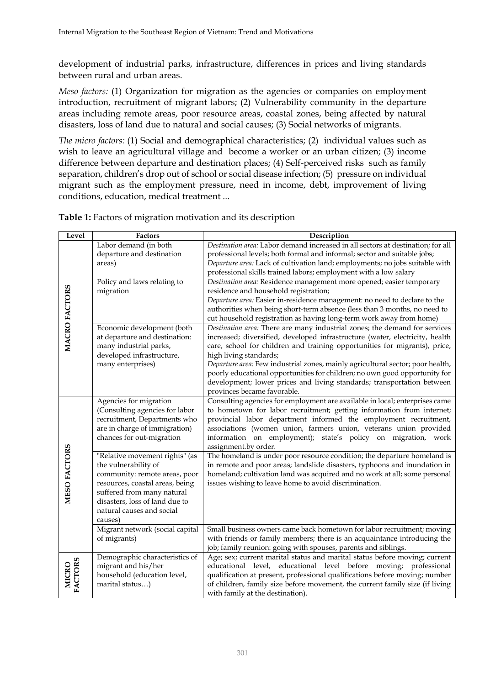development of industrial parks, infrastructure, differences in prices and living standards between rural and urban areas.

*Meso factors:* (1) Organization for migration as the agencies or companies on employment introduction, recruitment of migrant labors; (2) Vulnerability community in the departure areas including remote areas, poor resource areas, coastal zones, being affected by natural disasters, loss of land due to natural and social causes; (3) Social networks of migrants.

*The micro factors:* (1) Social and demographical characteristics; (2) individual values such as wish to leave an agricultural village and become a worker or an urban citizen; (3) income difference between departure and destination places; (4) Self-perceived risks such as family separation, children's drop out of school or social disease infection; (5) pressure on individual migrant such as the employment pressure, need in income, debt, improvement of living conditions, education, medical treatment ...

| Level                   | Factors                                                                                                                                                                                                                            | Description                                                                                                                                                                                                                                                                                                                                                                                                                                                                                                                                 |
|-------------------------|------------------------------------------------------------------------------------------------------------------------------------------------------------------------------------------------------------------------------------|---------------------------------------------------------------------------------------------------------------------------------------------------------------------------------------------------------------------------------------------------------------------------------------------------------------------------------------------------------------------------------------------------------------------------------------------------------------------------------------------------------------------------------------------|
|                         | Labor demand (in both<br>departure and destination<br>areas)                                                                                                                                                                       | Destination area: Labor demand increased in all sectors at destination; for all<br>professional levels; both formal and informal; sector and suitable jobs;<br>Departure area: Lack of cultivation land; employments; no jobs suitable with<br>professional skills trained labors; employment with a low salary                                                                                                                                                                                                                             |
| MACRO FACTORS           | Policy and laws relating to<br>migration                                                                                                                                                                                           | Destination area: Residence management more opened; easier temporary<br>residence and household registration;<br>Departure area: Easier in-residence management: no need to declare to the<br>authorities when being short-term absence (less than 3 months, no need to<br>cut household registration as having long-term work away from home)                                                                                                                                                                                              |
|                         | Economic development (both<br>at departure and destination:<br>many industrial parks,<br>developed infrastructure,<br>many enterprises)                                                                                            | Destination area: There are many industrial zones; the demand for services<br>increased; diversified, developed infrastructure (water, electricity, health<br>care, school for children and training opportunities for migrants), price,<br>high living standards;<br>Departure area: Few industrial zones, mainly agricultural sector; poor health,<br>poorly educational opportunities for children; no own good opportunity for<br>development; lower prices and living standards; transportation between<br>provinces became favorable. |
|                         | Agencies for migration<br>(Consulting agencies for labor<br>recruitment, Departments who<br>are in charge of immigration)<br>chances for out-migration                                                                             | Consulting agencies for employment are available in local; enterprises came<br>to hometown for labor recruitment; getting information from internet;<br>provincial labor department informed the employment recruitment,<br>associations (women union, farmers union, veterans union provided<br>information on employment); state's policy on migration, work<br>assignment.by order.                                                                                                                                                      |
| MESO FACTORS            | "Relative movement rights" (as<br>the vulnerability of<br>community: remote areas, poor<br>resources, coastal areas, being<br>suffered from many natural<br>disasters, loss of land due to<br>natural causes and social<br>causes) | The homeland is under poor resource condition; the departure homeland is<br>in remote and poor areas; landslide disasters, typhoons and inundation in<br>homeland; cultivation land was acquired and no work at all; some personal<br>issues wishing to leave home to avoid discrimination.                                                                                                                                                                                                                                                 |
|                         | Migrant network (social capital<br>of migrants)                                                                                                                                                                                    | Small business owners came back hometown for labor recruitment; moving<br>with friends or family members; there is an acquaintance introducing the<br>job; family reunion: going with spouses, parents and siblings.                                                                                                                                                                                                                                                                                                                        |
| FACTORS<br><b>MICRO</b> | Demographic characteristics of<br>migrant and his/her<br>household (education level,<br>marital status)                                                                                                                            | Age; sex; current marital status and marital status before moving; current<br>educational level, educational level before moving; professional<br>qualification at present, professional qualifications before moving; number<br>of children, family size before movement, the current family size (if living<br>with family at the destination).                                                                                                                                                                                           |

**Table 1:** Factors of migration motivation and its description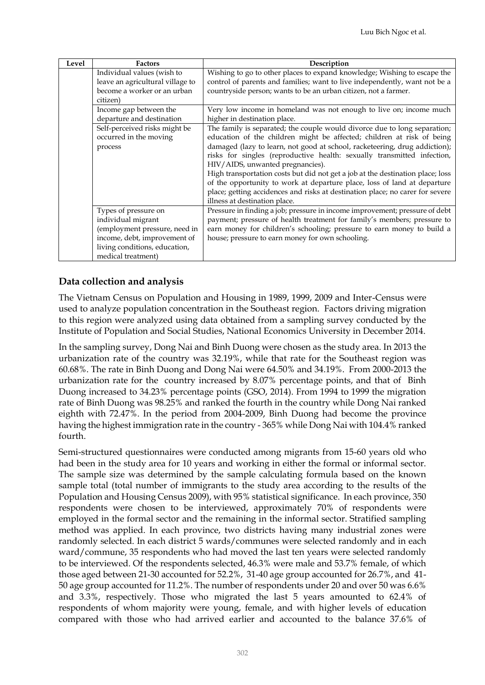| Level | <b>Factors</b>                          | Description                                                                    |
|-------|-----------------------------------------|--------------------------------------------------------------------------------|
|       | Individual values (wish to              | Wishing to go to other places to expand knowledge; Wishing to escape the       |
|       | leave an agricultural village to        | control of parents and families; want to live independently, want not be a     |
|       | become a worker or an urban<br>citizen) | countryside person; wants to be an urban citizen, not a farmer.                |
|       | Income gap between the                  | Very low income in homeland was not enough to live on; income much             |
|       | departure and destination               | higher in destination place.                                                   |
|       | Self-perceived risks might be           | The family is separated; the couple would divorce due to long separation;      |
|       | occurred in the moving                  | education of the children might be affected; children at risk of being         |
|       | process                                 | damaged (lazy to learn, not good at school, racketeering, drug addiction);     |
|       |                                         | risks for singles (reproductive health: sexually transmitted infection,        |
|       |                                         | HIV/AIDS, unwanted pregnancies).                                               |
|       |                                         | High transportation costs but did not get a job at the destination place; loss |
|       |                                         | of the opportunity to work at departure place, loss of land at departure       |
|       |                                         | place; getting accidences and risks at destination place; no carer for severe  |
|       |                                         | illness at destination place.                                                  |
|       | Types of pressure on                    | Pressure in finding a job; pressure in income improvement; pressure of debt    |
|       | individual migrant                      | payment; pressure of health treatment for family's members; pressure to        |
|       | (employment pressure, need in           | earn money for children's schooling; pressure to earn money to build a         |
|       | income, debt, improvement of            | house; pressure to earn money for own schooling.                               |
|       | living conditions, education,           |                                                                                |
|       | medical treatment)                      |                                                                                |

#### **Data collection and analysis**

The Vietnam Census on Population and Housing in 1989, 1999, 2009 and Inter-Census were used to analyze population concentration in the Southeast region. Factors driving migration to this region were analyzed using data obtained from a sampling survey conducted by the Institute of Population and Social Studies, National Economics University in December 2014.

In the sampling survey, Dong Nai and Binh Duong were chosen as the study area. In 2013 the urbanization rate of the country was 32.19%, while that rate for the Southeast region was 60.68%. The rate in Binh Duong and Dong Nai were 64.50% and 34.19%. From 2000-2013 the urbanization rate for the country increased by 8.07% percentage points, and that of Binh Duong increased to 34.23% percentage points (GSO, 2014). From 1994 to 1999 the migration rate of Binh Duong was 98.25% and ranked the fourth in the country while Dong Nai ranked eighth with 72.47%. In the period from 2004-2009, Binh Duong had become the province having the highest immigration rate in the country - 365% while Dong Nai with 104.4% ranked fourth.

Semi-structured questionnaires were conducted among migrants from 15-60 years old who had been in the study area for 10 years and working in either the formal or informal sector. The sample size was determined by the sample calculating formula based on the known sample total (total number of immigrants to the study area according to the results of the Population and Housing Census 2009), with 95% statistical significance. In each province, 350 respondents were chosen to be interviewed, approximately 70% of respondents were employed in the formal sector and the remaining in the informal sector. Stratified sampling method was applied. In each province, two districts having many industrial zones were randomly selected. In each district 5 wards/communes were selected randomly and in each ward/commune, 35 respondents who had moved the last ten years were selected randomly to be interviewed. Of the respondents selected, 46.3% were male and 53.7% female, of which those aged between 21-30 accounted for 52.2%, 31-40 age group accounted for 26.7%, and 41- 50 age group accounted for 11.2%. The number of respondents under 20 and over 50 was 6.6% and 3.3%, respectively. Those who migrated the last 5 years amounted to 62.4% of respondents of whom majority were young, female, and with higher levels of education compared with those who had arrived earlier and accounted to the balance 37.6% of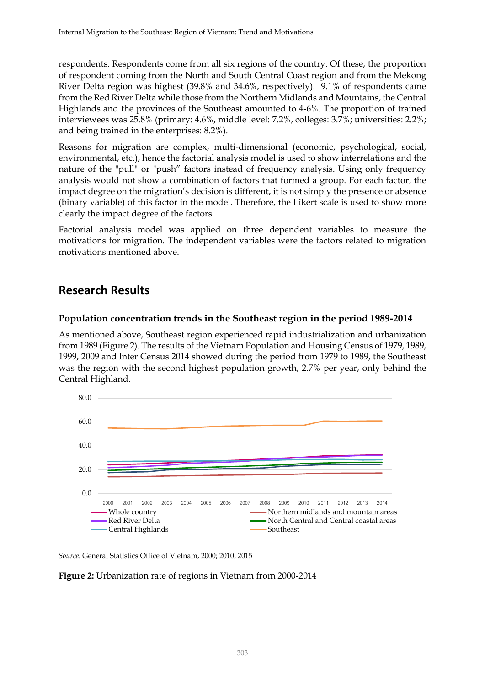respondents. Respondents come from all six regions of the country. Of these, the proportion of respondent coming from the North and South Central Coast region and from the Mekong River Delta region was highest (39.8% and 34.6%, respectively). 9.1% of respondents came from the Red River Delta while those from the Northern Midlands and Mountains, the Central Highlands and the provinces of the Southeast amounted to 4-6%. The proportion of trained interviewees was 25.8% (primary: 4.6%, middle level: 7.2%, colleges: 3.7%; universities: 2.2%; and being trained in the enterprises: 8.2%).

Reasons for migration are complex, multi-dimensional (economic, psychological, social, environmental, etc.), hence the factorial analysis model is used to show interrelations and the nature of the "pull" or "push" factors instead of frequency analysis. Using only frequency analysis would not show a combination of factors that formed a group. For each factor, the impact degree on the migration's decision is different, it is not simply the presence or absence (binary variable) of this factor in the model. Therefore, the Likert scale is used to show more clearly the impact degree of the factors.

Factorial analysis model was applied on three dependent variables to measure the motivations for migration. The independent variables were the factors related to migration motivations mentioned above.

### **Research Results**

#### **Population concentration trends in the Southeast region in the period 1989-2014**

As mentioned above, Southeast region experienced rapid industrialization and urbanization from 1989 (Figure 2). The results of the Vietnam Population and Housing Census of 1979, 1989, 1999, 2009 and Inter Census 2014 showed during the period from 1979 to 1989, the Southeast was the region with the second highest population growth, 2.7% per year, only behind the Central Highland.



*Source:* General Statistics Office of Vietnam, 2000; 2010; 2015

**Figure 2:** Urbanization rate of regions in Vietnam from 2000-2014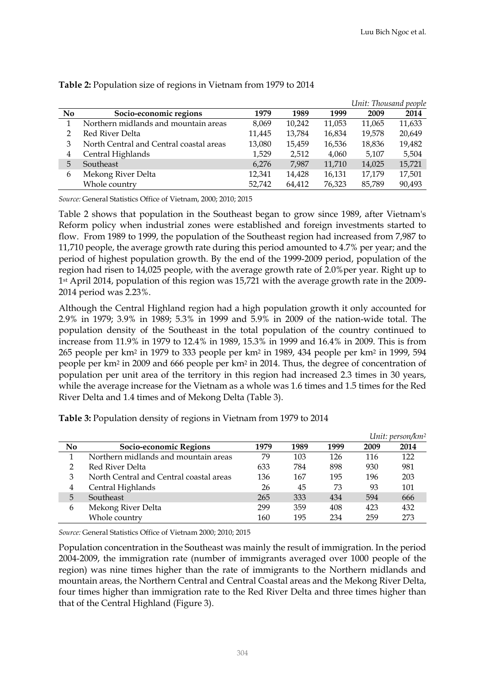|                |                                         |        |        |        | Unit: Thousand people |        |
|----------------|-----------------------------------------|--------|--------|--------|-----------------------|--------|
| N <sub>0</sub> | Socio-economic regions                  | 1979   | 1989   | 1999   | 2009                  | 2014   |
|                | Northern midlands and mountain areas    | 8,069  | 10,242 | 11,053 | 11,065                | 11,633 |
|                | Red River Delta                         | 11,445 | 13,784 | 16,834 | 19,578                | 20,649 |
| 3              | North Central and Central coastal areas | 13,080 | 15,459 | 16,536 | 18,836                | 19,482 |
| 4              | Central Highlands                       | 1.529  | 2,512  | 4,060  | 5,107                 | 5,504  |
| 5              | Southeast                               | 6,276  | 7,987  | 11,710 | 14,025                | 15,721 |
| 6              | Mekong River Delta                      | 12,341 | 14,428 | 16,131 | 17,179                | 17,501 |
|                | Whole country                           | 52,742 | 64,412 | 76,323 | 85.789                | 90,493 |

**Table 2:** Population size of regions in Vietnam from 1979 to 2014

*Source:* General Statistics Office of Vietnam, 2000; 2010; 2015

Table 2 shows that population in the Southeast began to grow since 1989, after Vietnam's Reform policy when industrial zones were established and foreign investments started to flow. From 1989 to 1999, the population of the Southeast region had increased from 7,987 to 11,710 people, the average growth rate during this period amounted to 4.7% per year; and the period of highest population growth. By the end of the 1999-2009 period, population of the region had risen to 14,025 people, with the average growth rate of 2.0%per year. Right up to 1st April 2014, population of this region was 15,721 with the average growth rate in the 2009- 2014 period was 2.23%.

Although the Central Highland region had a high population growth it only accounted for 2.9% in 1979; 3.9% in 1989; 5.3% in 1999 and 5.9% in 2009 of the nation-wide total. The population density of the Southeast in the total population of the country continued to increase from 11.9% in 1979 to 12.4% in 1989, 15.3% in 1999 and 16.4% in 2009. This is from 265 people per km<sup>2</sup> in 1979 to 333 people per km<sup>2</sup> in 1989, 434 people per km<sup>2</sup> in 1999, 594 people per km<sup>2</sup> in 2009 and 666 people per km<sup>2</sup> in 2014. Thus, the degree of concentration of population per unit area of the territory in this region had increased 2.3 times in 30 years, while the average increase for the Vietnam as a whole was 1.6 times and 1.5 times for the Red River Delta and 1.4 times and of Mekong Delta (Table 3).

|     |                                         |      |      |      |      | Unit: person/km <sup>2</sup> |
|-----|-----------------------------------------|------|------|------|------|------------------------------|
| No. | Socio-economic Regions                  | 1979 | 1989 | 1999 | 2009 | 2014                         |
|     | Northern midlands and mountain areas    | 79   | 103  | 126  | 116  | 122                          |
| າ   | Red River Delta                         | 633  | 784  | 898  | 930  | 981                          |
| 3   | North Central and Central coastal areas | 136  | 167  | 195  | 196  | 203                          |
| 4   | Central Highlands                       | 26   | 45   | 73   | 93   | 101                          |
| 5   | Southeast                               | 265  | 333  | 434  | 594  | 666                          |
| 6   | Mekong River Delta                      | 299  | 359  | 408  | 423  | 432                          |
|     | Whole country                           | 160  | 195  | 234  | 259  | 273                          |

**Table 3:** Population density of regions in Vietnam from 1979 to 2014

*Source:* General Statistics Office of Vietnam 2000; 2010; 2015

Population concentration in the Southeast was mainly the result of immigration. In the period 2004-2009, the immigration rate (number of immigrants averaged over 1000 people of the region) was nine times higher than the rate of immigrants to the Northern midlands and mountain areas, the Northern Central and Central Coastal areas and the Mekong River Delta, four times higher than immigration rate to the Red River Delta and three times higher than that of the Central Highland (Figure 3).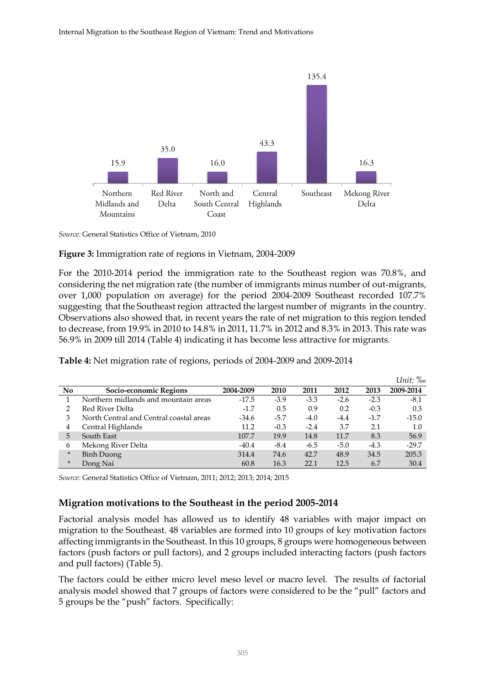

*Source:* General Statistics Office of Vietnam, 2010

#### **Figure 3:** Immigration rate of regions in Vietnam, 2004-2009

For the 2010-2014 period the immigration rate to the Southeast region was 70.8%, and considering the net migration rate (the number of immigrants minus number of out-migrants, over 1,000 population on average) for the period 2004-2009 Southeast recorded 107.7% suggesting that the Southeast region attracted the largest number of migrants in the country. Observations also showed that, in recent years the rate of net migration to this region tended to decrease, from 19.9% in 2010 to 14.8% in 2011, 11.7% in 2012 and 8.3% in 2013. This rate was 56.9% in 2009 till 2014 (Table 4) indicating it has become less attractive for migrants.

|        |                                         |           |        |        |        |        | Unit: ‰   |
|--------|-----------------------------------------|-----------|--------|--------|--------|--------|-----------|
| No     | Socio-economic Regions                  | 2004-2009 | 2010   | 2011   | 2012   | 2013   | 2009-2014 |
|        | Northern midlands and mountain areas    | $-17.5$   | $-3.9$ | $-3.3$ | $-2.6$ | $-2.3$ | $-8.1$    |
|        | Red River Delta                         | $-1.7$    | 0.5    | 0.9    | 0.2    | $-0.3$ | 0.3       |
|        | North Central and Central coastal areas | $-34.6$   | $-5.7$ | $-4.0$ | $-4.4$ | $-1.7$ | $-15.0$   |
| 4      | Central Highlands                       | 11.2      | $-0.3$ | $-2.4$ | 3.7    | 2.1    | 1.0       |
| 5      | South East                              | 107.7     | 19.9   | 14.8   | 11.7   | 8.3    | 56.9      |
| 6      | Mekong River Delta                      | $-40.4$   | $-8.4$ | $-6.5$ | $-5.0$ | $-4.3$ | $-29.7$   |
| $\ast$ | <b>Binh Duong</b>                       | 314.4     | 74.6   | 42.7   | 48.9   | 34.5   | 205.3     |
| $\ast$ | Dong Nai                                | 60.8      | 16.3   | 22.1   | 12.5   | 6.7    | 30.4      |

**Table 4:** Net migration rate of regions, periods of 2004-2009 and 2009-2014

*Source:* General Statistics Office of Vietnam, 2011; 2012; 2013; 2014; 2015

#### **Migration motivations to the Southeast in the period 2005-2014**

Factorial analysis model has allowed us to identify 48 variables with major impact on migration to the Southeast. 48 variables are formed into 10 groups of key motivation factors affecting immigrants in the Southeast. In this 10 groups, 8 groups were homogeneous between factors (push factors or pull factors), and 2 groups included interacting factors (push factors and pull factors) (Table 5).

The factors could be either micro level meso level or macro level. The results of factorial analysis model showed that 7 groups of factors were considered to be the "pull" factors and 5 groups be the "push" factors. Specifically: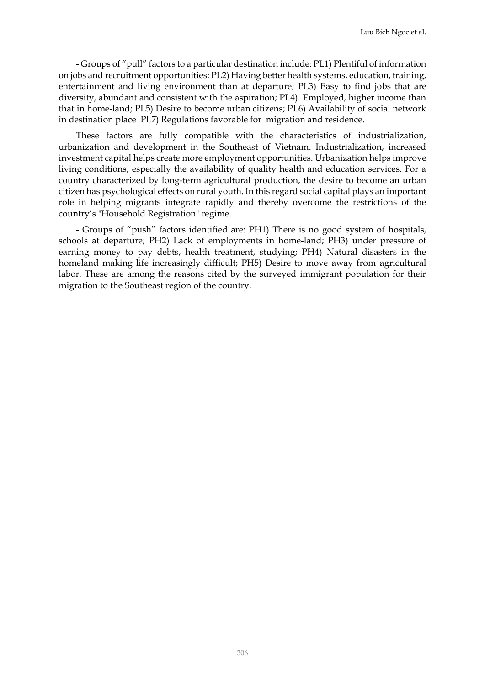- Groups of "pull" factors to a particular destination include: PL1) Plentiful of information on jobs and recruitment opportunities; PL2) Having better health systems, education, training, entertainment and living environment than at departure; PL3) Easy to find jobs that are diversity, abundant and consistent with the aspiration; PL4) Employed, higher income than that in home-land; PL5) Desire to become urban citizens; PL6) Availability of social network in destination place PL7) Regulations favorable for migration and residence.

These factors are fully compatible with the characteristics of industrialization, urbanization and development in the Southeast of Vietnam. Industrialization, increased investment capital helps create more employment opportunities. Urbanization helps improve living conditions, especially the availability of quality health and education services. For a country characterized by long-term agricultural production, the desire to become an urban citizen has psychological effects on rural youth. In this regard social capital plays an important role in helping migrants integrate rapidly and thereby overcome the restrictions of the country's "Household Registration" regime.

- Groups of "push" factors identified are: PH1) There is no good system of hospitals, schools at departure; PH2) Lack of employments in home-land; PH3) under pressure of earning money to pay debts, health treatment, studying; PH4) Natural disasters in the homeland making life increasingly difficult; PH5) Desire to move away from agricultural labor. These are among the reasons cited by the surveyed immigrant population for their migration to the Southeast region of the country.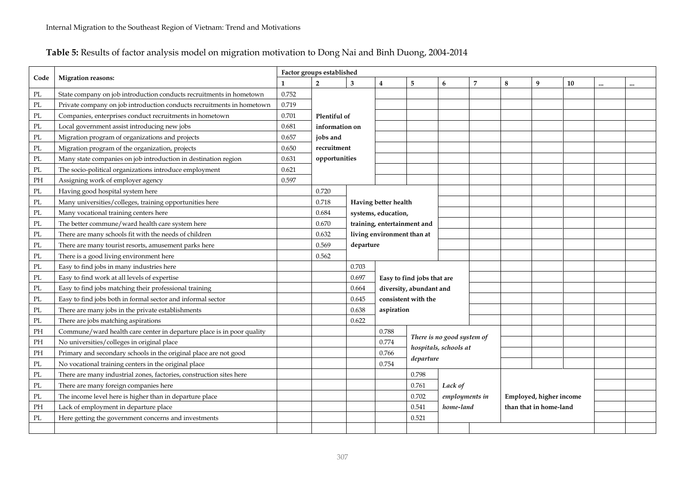### **Table 5:** Results of factor analysis model on migration motivation to Dong Nai and Binh Duong, 2004-2014

|          |                                                                       |              | Factor groups established |                                                           |                            |                         |                                                     |                |   |                         |    |           |  |
|----------|-----------------------------------------------------------------------|--------------|---------------------------|-----------------------------------------------------------|----------------------------|-------------------------|-----------------------------------------------------|----------------|---|-------------------------|----|-----------|--|
| Code     | <b>Migration reasons:</b>                                             | $\mathbf{1}$ | $\overline{2}$            | 3                                                         | 4                          | 5                       | 6                                                   | $\overline{7}$ | 8 | 9                       | 10 | $\ddotsc$ |  |
| PL       | State company on job introduction conducts recruitments in hometown   | 0.752        |                           |                                                           |                            |                         |                                                     |                |   |                         |    |           |  |
| PL       | Private company on job introduction conducts recruitments in hometown | 0.719        |                           |                                                           |                            |                         |                                                     |                |   |                         |    |           |  |
| PL       | Companies, enterprises conduct recruitments in hometown               | 0.701        | Plentiful of              |                                                           |                            |                         |                                                     |                |   |                         |    |           |  |
| PL       | Local government assist introducing new jobs                          | 0.681        | information on            |                                                           |                            |                         |                                                     |                |   |                         |    |           |  |
| PL       | Migration program of organizations and projects                       | 0.657        | jobs and                  |                                                           |                            |                         |                                                     |                |   |                         |    |           |  |
| PL       | Migration program of the organization, projects                       | 0.650        | recruitment               |                                                           |                            |                         |                                                     |                |   |                         |    |           |  |
| PL       | Many state companies on job introduction in destination region        | 0.631        | opportunities             |                                                           |                            |                         |                                                     |                |   |                         |    |           |  |
| PL       | The socio-political organizations introduce employment                | 0.621        |                           |                                                           |                            |                         |                                                     |                |   |                         |    |           |  |
| PH       | Assigning work of employer agency                                     | 0.597        |                           |                                                           |                            |                         |                                                     |                |   |                         |    |           |  |
| PL       | Having good hospital system here                                      |              | 0.720                     |                                                           |                            |                         |                                                     |                |   |                         |    |           |  |
| $\rm PL$ | Many universities/colleges, training opportunities here               |              | 0.718                     |                                                           | Having better health       |                         |                                                     |                |   |                         |    |           |  |
| PL       | Many vocational training centers here                                 |              | 0.684                     |                                                           | systems, education,        |                         |                                                     |                |   |                         |    |           |  |
| PL       | The better commune/ward health care system here                       |              | 0.670                     | training, entertainment and<br>living environment than at |                            |                         |                                                     |                |   |                         |    |           |  |
| PL       | There are many schools fit with the needs of children                 |              | 0.632                     |                                                           |                            |                         |                                                     |                |   |                         |    |           |  |
| PL       | There are many tourist resorts, amusement parks here                  |              | 0.569                     | departure                                                 |                            |                         |                                                     |                |   |                         |    |           |  |
| PL       | There is a good living environment here                               |              | 0.562                     |                                                           |                            |                         |                                                     |                |   |                         |    |           |  |
| PL       | Easy to find jobs in many industries here                             |              |                           | 0.703                                                     |                            |                         |                                                     |                |   |                         |    |           |  |
| PL       | Easy to find work at all levels of expertise                          |              |                           | 0.697                                                     | Easy to find jobs that are |                         |                                                     |                |   |                         |    |           |  |
| PL       | Easy to find jobs matching their professional training                |              |                           | 0.664                                                     |                            | diversity, abundant and |                                                     |                |   |                         |    |           |  |
| PL       | Easy to find jobs both in formal sector and informal sector           |              |                           | 0.645                                                     | consistent with the        |                         |                                                     |                |   |                         |    |           |  |
| PL       | There are many jobs in the private establishments                     |              |                           | 0.638                                                     |                            | aspiration              |                                                     |                |   |                         |    |           |  |
| $\rm PL$ | There are jobs matching aspirations                                   |              |                           | 0.622                                                     |                            |                         |                                                     |                |   |                         |    |           |  |
| PH       | Commune/ward health care center in departure place is in poor quality |              |                           |                                                           | 0.788                      |                         |                                                     |                |   |                         |    |           |  |
| PH       | No universities/colleges in original place                            |              |                           |                                                           | 0.774                      |                         | There is no good system of<br>hospitals, schools at |                |   |                         |    |           |  |
| PH       | Primary and secondary schools in the original place are not good      |              |                           |                                                           | 0.766                      | departure               |                                                     |                |   |                         |    |           |  |
| PL       | No vocational training centers in the original place                  |              |                           |                                                           | 0.754                      |                         |                                                     |                |   |                         |    |           |  |
| PL       | There are many industrial zones, factories, construction sites here   |              |                           |                                                           |                            | 0.798                   |                                                     |                |   |                         |    |           |  |
| PL       | There are many foreign companies here                                 |              |                           |                                                           |                            | 0.761<br>Lack of        |                                                     |                |   |                         |    |           |  |
| PL       | The income level here is higher than in departure place               |              |                           |                                                           |                            | 0.702                   | employments in                                      |                |   | Employed, higher income |    |           |  |
| PH       | Lack of employment in departure place                                 |              |                           |                                                           |                            | 0.541                   | home-land                                           |                |   | than that in home-land  |    |           |  |
| PL       | Here getting the government concerns and investments                  |              |                           |                                                           |                            | 0.521                   |                                                     |                |   |                         |    |           |  |
|          |                                                                       |              |                           |                                                           |                            |                         |                                                     |                |   |                         |    |           |  |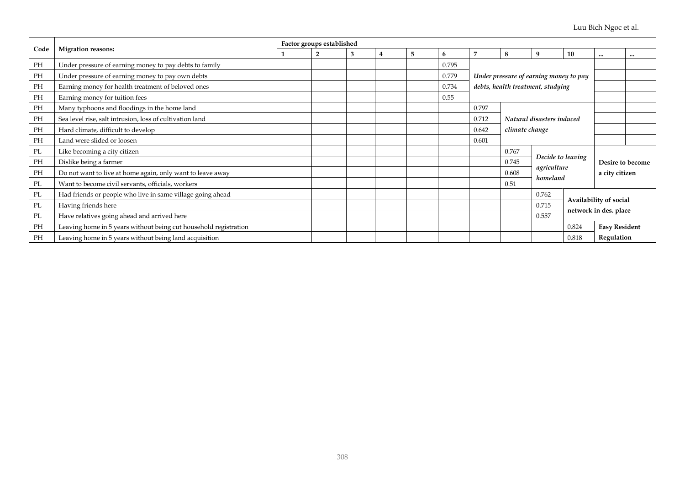|      |                                                                  | Factor groups established |   |   |   |   |       |       |                                        |                                   |                  |                      |                       |
|------|------------------------------------------------------------------|---------------------------|---|---|---|---|-------|-------|----------------------------------------|-----------------------------------|------------------|----------------------|-----------------------|
| Code | <b>Migration reasons:</b>                                        |                           | 2 | 3 | 4 | 5 | 6     | 7     | 8                                      | 9                                 | 10               | $\cdots$             | $\cdots$              |
| PH   | Under pressure of earning money to pay debts to family           |                           |   |   |   |   | 0.795 |       |                                        |                                   |                  |                      |                       |
| PH   | Under pressure of earning money to pay own debts                 |                           |   |   |   |   | 0.779 |       | Under pressure of earning money to pay |                                   |                  |                      |                       |
| PH   | Earning money for health treatment of beloved ones               |                           |   |   |   |   | 0.734 |       |                                        | debts, health treatment, studying |                  |                      |                       |
| PH   | Earning money for tuition fees                                   |                           |   |   |   |   | 0.55  |       |                                        |                                   |                  |                      |                       |
| PH   | Many typhoons and floodings in the home land                     |                           |   |   |   |   |       | 0.797 |                                        |                                   |                  |                      |                       |
| PH   | Sea level rise, salt intrusion, loss of cultivation land         |                           |   |   |   |   |       | 0.712 | Natural disasters induced              |                                   |                  |                      |                       |
| PH   | Hard climate, difficult to develop                               |                           |   |   |   |   |       | 0.642 |                                        | climate change                    |                  |                      |                       |
| PH   | Land were slided or loosen                                       |                           |   |   |   |   |       | 0.601 |                                        |                                   |                  |                      |                       |
| PL   | Like becoming a city citizen                                     |                           |   |   |   |   |       |       | 0.767                                  |                                   |                  |                      |                       |
| PH   | Dislike being a farmer                                           |                           |   |   |   |   |       |       | Decide to leaving<br>0.745             |                                   | Desire to become |                      |                       |
| PH   | Do not want to live at home again, only want to leave away       |                           |   |   |   |   |       |       | 0.608                                  | agriculture                       |                  | a city citizen       |                       |
| PL   | Want to become civil servants, officials, workers                |                           |   |   |   |   |       |       | 0.51                                   |                                   | homeland         |                      |                       |
| PL   | Had friends or people who live in same village going ahead       |                           |   |   |   |   |       |       |                                        | 0.762                             |                  |                      |                       |
| PL   | Having friends here                                              |                           |   |   |   |   |       |       |                                        | Availability of social<br>0.715   |                  |                      |                       |
| PL   | Have relatives going ahead and arrived here                      |                           |   |   |   |   |       |       |                                        | 0.557                             |                  |                      | network in des. place |
| PH   | Leaving home in 5 years without being cut household registration |                           |   |   |   |   |       |       |                                        |                                   | 0.824            | <b>Easy Resident</b> |                       |
| PH   | Leaving home in 5 years without being land acquisition           |                           |   |   |   |   |       |       |                                        |                                   | 0.818            | Regulation           |                       |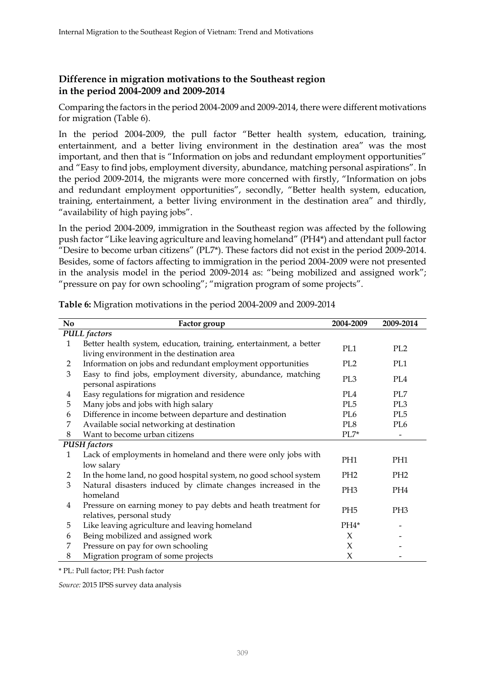### **Difference in migration motivations to the Southeast region in the period 2004-2009 and 2009-2014**

Comparing the factors in the period 2004-2009 and 2009-2014, there were different motivations for migration (Table 6).

In the period 2004-2009, the pull factor "Better health system, education, training, entertainment, and a better living environment in the destination area" was the most important, and then that is "Information on jobs and redundant employment opportunities" and "Easy to find jobs, employment diversity, abundance, matching personal aspirations". In the period 2009-2014, the migrants were more concerned with firstly, "Information on jobs and redundant employment opportunities", secondly, "Better health system, education, training, entertainment, a better living environment in the destination area" and thirdly, "availability of high paying jobs".

In the period 2004-2009, immigration in the Southeast region was affected by the following push factor "Like leaving agriculture and leaving homeland" (PH4\*) and attendant pull factor "Desire to become urban citizens" (PL7 $*$ ). These factors did not exist in the period 2009-2014. Besides, some of factors affecting to immigration in the period 2004-2009 were not presented in the analysis model in the period 2009-2014 as: "being mobilized and assigned work"; "pressure on pay for own schooling"; "migration program of some projects".

| No             | Factor group                                                                                                     | 2004-2009       | 2009-2014       |
|----------------|------------------------------------------------------------------------------------------------------------------|-----------------|-----------------|
|                | <b>PULL</b> factors                                                                                              |                 |                 |
| $\mathbf{1}$   | Better health system, education, training, entertainment, a better<br>living environment in the destination area | PL1             | PL <sub>2</sub> |
| 2              | Information on jobs and redundant employment opportunities                                                       | PL <sub>2</sub> | PL1             |
| 3              | Easy to find jobs, employment diversity, abundance, matching<br>personal aspirations                             | PL <sub>3</sub> | PL <sub>4</sub> |
| 4              | Easy regulations for migration and residence                                                                     | PL4             | PL7             |
| 5              | Many jobs and jobs with high salary                                                                              | PL <sub>5</sub> | PL3             |
| 6              | Difference in income between departure and destination                                                           | PL6             | PL <sub>5</sub> |
| 7              | Available social networking at destination                                                                       | PL8             | PL6             |
| 8              | Want to become urban citizens                                                                                    | $PL7*$          |                 |
|                | <b>PUSH</b> factors                                                                                              |                 |                 |
| 1              | Lack of employments in homeland and there were only jobs with<br>low salary                                      | PH <sub>1</sub> | PH1             |
| $\overline{2}$ | In the home land, no good hospital system, no good school system                                                 | PH <sub>2</sub> | PH <sub>2</sub> |
| 3              | Natural disasters induced by climate changes increased in the<br>homeland                                        | PH <sub>3</sub> | PH4             |
| 4              | Pressure on earning money to pay debts and heath treatment for<br>relatives, personal study                      | PH <sub>5</sub> | PH <sub>3</sub> |
| 5              | Like leaving agriculture and leaving homeland                                                                    | PH4*            |                 |
| 6              | Being mobilized and assigned work                                                                                | X               |                 |
| 7              | Pressure on pay for own schooling                                                                                | X               |                 |
| 8              | Migration program of some projects                                                                               | X               |                 |

**Table 6:** Migration motivations in the period 2004-2009 and 2009-2014

\* PL: Pull factor; PH: Push factor

*Source:* 2015 IPSS survey data analysis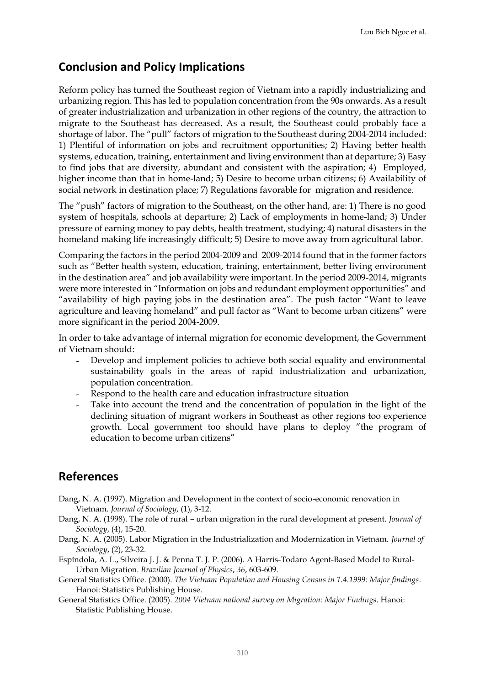### **Conclusion and Policy Implications**

Reform policy has turned the Southeast region of Vietnam into a rapidly industrializing and urbanizing region. This has led to population concentration from the 90s onwards. As a result of greater industrialization and urbanization in other regions of the country, the attraction to migrate to the Southeast has decreased. As a result, the Southeast could probably face a shortage of labor. The "pull" factors of migration to the Southeast during 2004-2014 included: 1) Plentiful of information on jobs and recruitment opportunities; 2) Having better health systems, education, training, entertainment and living environment than at departure; 3) Easy to find jobs that are diversity, abundant and consistent with the aspiration; 4) Employed, higher income than that in home-land; 5) Desire to become urban citizens; 6) Availability of social network in destination place; 7) Regulations favorable for migration and residence.

The "push" factors of migration to the Southeast, on the other hand, are: 1) There is no good system of hospitals, schools at departure; 2) Lack of employments in home-land; 3) Under pressure of earning money to pay debts, health treatment, studying; 4) natural disasters in the homeland making life increasingly difficult; 5) Desire to move away from agricultural labor.

Comparing the factors in the period 2004-2009 and 2009-2014 found that in the former factors such as "Better health system, education, training, entertainment, better living environment in the destination area" and job availability were important. In the period 2009-2014, migrants were more interested in "Information on jobs and redundant employment opportunities" and "availability of high paying jobs in the destination area". The push factor "Want to leave agriculture and leaving homeland" and pull factor as "Want to become urban citizens" were more significant in the period 2004-2009.

In order to take advantage of internal migration for economic development, the Government of Vietnam should:

- Develop and implement policies to achieve both social equality and environmental sustainability goals in the areas of rapid industrialization and urbanization, population concentration.
- Respond to the health care and education infrastructure situation
- Take into account the trend and the concentration of population in the light of the declining situation of migrant workers in Southeast as other regions too experience growth. Local government too should have plans to deploy "the program of education to become urban citizens"

### **References**

- Dang, N. A. (1997). Migration and Development in the context of socio-economic renovation in Vietnam. *Journal of Sociology*, (1), 3-12.
- Dang, N. A. (1998). The role of rural urban migration in the rural development at present. *Journal of Sociology*, (4), 15-20.

Dang, N. A. (2005). Labor Migration in the Industrialization and Modernization in Vietnam. *Journal of Sociology*, (2), 23-32.

Espíndola, A. L., Silveira J. J. & Penna T. J. P. (2006). A Harris-Todaro Agent-Based Model to Rural-Urban Migration. *Brazilian Journal of Physics*, *36*, 603-609.

General Statistics Office. (2000). *The Vietnam Population and Housing Census in 1.4.1999: Major findings*. Hanoi: Statistics Publishing House.

General Statistics Office. (2005). *2004 Vietnam national survey on Migration: Major Findings*. Hanoi: Statistic Publishing House.